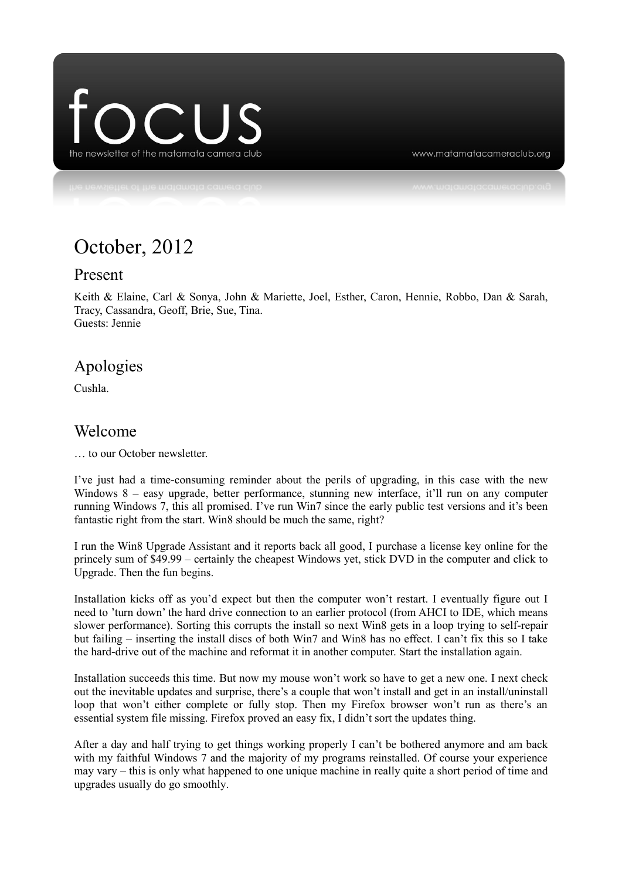

www.matamatacameraclub.org

# October, 2012

#### Present

Keith & Elaine, Carl & Sonya, John & Mariette, Joel, Esther, Caron, Hennie, Robbo, Dan & Sarah, Tracy, Cassandra, Geoff, Brie, Sue, Tina. Guests: Jennie

### Apologies

Cushla.

### Welcome

… to our October newsletter.

I've just had a time-consuming reminder about the perils of upgrading, in this case with the new Windows 8 – easy upgrade, better performance, stunning new interface, it'll run on any computer running Windows 7, this all promised. I've run Win7 since the early public test versions and it's been fantastic right from the start. Win8 should be much the same, right?

I run the Win8 Upgrade Assistant and it reports back all good, I purchase a license key online for the princely sum of \$49.99 – certainly the cheapest Windows yet, stick DVD in the computer and click to Upgrade. Then the fun begins.

Installation kicks off as you'd expect but then the computer won't restart. I eventually figure out I need to 'turn down' the hard drive connection to an earlier protocol (from AHCI to IDE, which means slower performance). Sorting this corrupts the install so next Win8 gets in a loop trying to self-repair but failing – inserting the install discs of both Win7 and Win8 has no effect. I can't fix this so I take the hard-drive out of the machine and reformat it in another computer. Start the installation again.

Installation succeeds this time. But now my mouse won't work so have to get a new one. I next check out the inevitable updates and surprise, there's a couple that won't install and get in an install/uninstall loop that won't either complete or fully stop. Then my Firefox browser won't run as there's an essential system file missing. Firefox proved an easy fix, I didn't sort the updates thing.

After a day and half trying to get things working properly I can't be bothered anymore and am back with my faithful Windows 7 and the majority of my programs reinstalled. Of course your experience may vary – this is only what happened to one unique machine in really quite a short period of time and upgrades usually do go smoothly.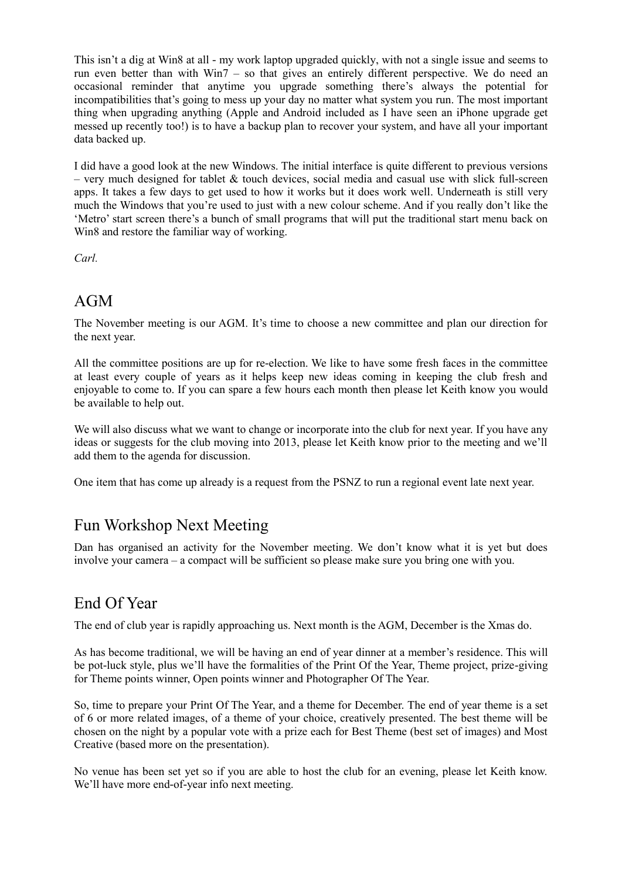This isn't a dig at Win8 at all - my work laptop upgraded quickly, with not a single issue and seems to run even better than with Win7 – so that gives an entirely different perspective. We do need an occasional reminder that anytime you upgrade something there's always the potential for incompatibilities that's going to mess up your day no matter what system you run. The most important thing when upgrading anything (Apple and Android included as I have seen an iPhone upgrade get messed up recently too!) is to have a backup plan to recover your system, and have all your important data backed up.

I did have a good look at the new Windows. The initial interface is quite different to previous versions – very much designed for tablet  $\&$  touch devices, social media and casual use with slick full-screen apps. It takes a few days to get used to how it works but it does work well. Underneath is still very much the Windows that you're used to just with a new colour scheme. And if you really don't like the 'Metro' start screen there's a bunch of small programs that will put the traditional start menu back on Win8 and restore the familiar way of working.

*Carl.*

## AGM

The November meeting is our AGM. It's time to choose a new committee and plan our direction for the next year.

All the committee positions are up for re-election. We like to have some fresh faces in the committee at least every couple of years as it helps keep new ideas coming in keeping the club fresh and enjoyable to come to. If you can spare a few hours each month then please let Keith know you would be available to help out.

We will also discuss what we want to change or incorporate into the club for next year. If you have any ideas or suggests for the club moving into 2013, please let Keith know prior to the meeting and we'll add them to the agenda for discussion.

One item that has come up already is a request from the PSNZ to run a regional event late next year.

# Fun Workshop Next Meeting

Dan has organised an activity for the November meeting. We don't know what it is yet but does involve your camera – a compact will be sufficient so please make sure you bring one with you.

# End Of Year

The end of club year is rapidly approaching us. Next month is the AGM, December is the Xmas do.

As has become traditional, we will be having an end of year dinner at a member's residence. This will be pot-luck style, plus we'll have the formalities of the Print Of the Year, Theme project, prize-giving for Theme points winner, Open points winner and Photographer Of The Year.

So, time to prepare your Print Of The Year, and a theme for December. The end of year theme is a set of 6 or more related images, of a theme of your choice, creatively presented. The best theme will be chosen on the night by a popular vote with a prize each for Best Theme (best set of images) and Most Creative (based more on the presentation).

No venue has been set yet so if you are able to host the club for an evening, please let Keith know. We'll have more end-of-year info next meeting.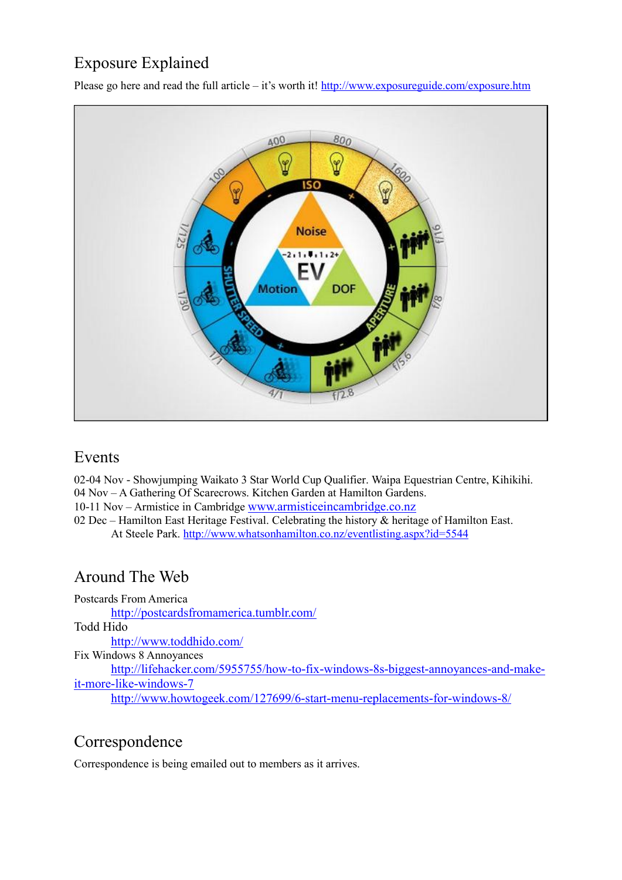# Exposure Explained

Please go here and read the full article – it's worth it! <http://www.exposureguide.com/exposure.htm>



### Events

02-04 Nov - Showjumping Waikato 3 Star World Cup Qualifier. Waipa Equestrian Centre, Kihikihi. 04 Nov – A Gathering Of Scarecrows. Kitchen Garden at Hamilton Gardens. 10-11 Nov – Armistice in Cambridge [www.armisticeincambridge.co.nz](http://www.armisticeincambridge.co.nz/)

02 Dec – Hamilton East Heritage Festival. Celebrating the history  $\&$  heritage of Hamilton East. At Steele Park.<http://www.whatsonhamilton.co.nz/eventlisting.aspx?id=5544>

# Around The Web

Postcards From America <http://postcardsfromamerica.tumblr.com/> Todd Hido <http://www.toddhido.com/> Fix Windows 8 Annoyances [http://lifehacker.com/5955755/how-to-fix-windows-8s-biggest-annoyances-and-make](http://lifehacker.com/5955755/how-to-fix-windows-8s-biggest-annoyances-and-make-it-more-like-windows-7)[it-more-like-windows-7](http://lifehacker.com/5955755/how-to-fix-windows-8s-biggest-annoyances-and-make-it-more-like-windows-7)

#### <http://www.howtogeek.com/127699/6-start-menu-replacements-for-windows-8/>

# Correspondence

Correspondence is being emailed out to members as it arrives.